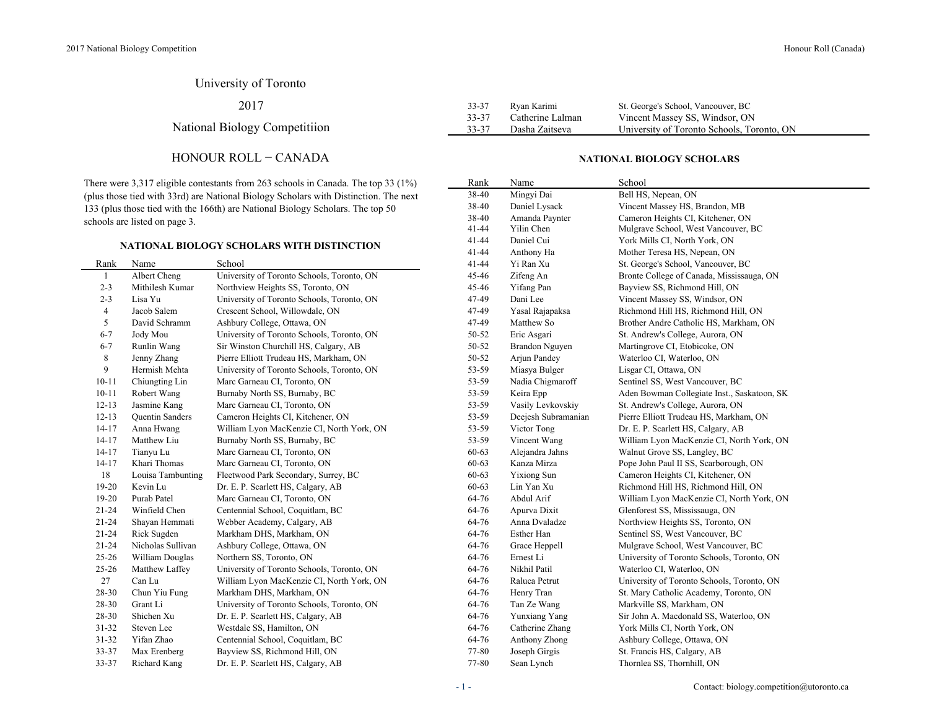## University of Toronto

2017

National Biology Competitiion

### HONOUR ROLL − CANADA

There were 3,317 eligible contestants from 263 schools in Canada. The top 33 (1%) (plus those tied with 33rd) are National Biology Scholars with Distinction. The next 133 (plus those tied with the 166th) are National Biology Scholars. The top 50 schools are listed on page 3.

#### **NATIONAL BIOLOGY SCHOLARS WITH DISTINCTION**

|           |                   |                                            |           | 1.444440447.449     |                                             |
|-----------|-------------------|--------------------------------------------|-----------|---------------------|---------------------------------------------|
| Rank      | Name              | School                                     | $41 - 44$ | Yi Ran Xu           | St. George's School, Vancouver, BC          |
| 1         | Albert Cheng      | University of Toronto Schools, Toronto, ON | 45-46     | Zifeng An           | Bronte College of Canada, Mississauga, ON   |
| $2 - 3$   | Mithilesh Kumar   | Northview Heights SS, Toronto, ON          | 45-46     | Yifang Pan          | Bayview SS, Richmond Hill, ON               |
| $2 - 3$   | Lisa Yu           | University of Toronto Schools, Toronto, ON | 47-49     | Dani Lee            | Vincent Massey SS, Windsor, ON              |
| 4         | Jacob Salem       | Crescent School, Willowdale, ON            | 47-49     | Yasal Rajapaksa     | Richmond Hill HS, Richmond Hill, ON         |
| 5         | David Schramm     | Ashbury College, Ottawa, ON                | 47-49     | Matthew So          | Brother Andre Catholic HS, Markham, ON      |
| $6 - 7$   | Jody Mou          | University of Toronto Schools, Toronto, ON | 50-52     | Eric Asgari         | St. Andrew's College, Aurora, ON            |
| $6 - 7$   | Runlin Wang       | Sir Winston Churchill HS, Calgary, AB      | 50-52     | Brandon Nguyen      | Martingrove CI, Etobicoke, ON               |
| 8         | Jenny Zhang       | Pierre Elliott Trudeau HS, Markham, ON     | 50-52     | Arjun Pandey        | Waterloo CI, Waterloo, ON                   |
| 9         | Hermish Mehta     | University of Toronto Schools, Toronto, ON | 53-59     | Miasya Bulger       | Lisgar CI, Ottawa, ON                       |
| $10 - 11$ | Chiungting Lin    | Marc Garneau CI, Toronto, ON               | 53-59     | Nadia Chigmaroff    | Sentinel SS, West Vancouver, BC             |
| $10 - 11$ | Robert Wang       | Burnaby North SS, Burnaby, BC              | 53-59     | Keira Epp           | Aden Bowman Collegiate Inst., Saskatoon, SK |
| $12 - 13$ | Jasmine Kang      | Marc Garneau CI, Toronto, ON               | 53-59     | Vasily Levkovskiy   | St. Andrew's College, Aurora, ON            |
| $12 - 13$ | Quentin Sanders   | Cameron Heights CI, Kitchener, ON          | 53-59     | Deejesh Subramanian | Pierre Elliott Trudeau HS, Markham, ON      |
| $14 - 17$ | Anna Hwang        | William Lyon MacKenzie CI, North York, ON  | 53-59     | Victor Tong         | Dr. E. P. Scarlett HS, Calgary, AB          |
| $14 - 17$ | Matthew Liu       | Burnaby North SS, Burnaby, BC              | 53-59     | Vincent Wang        | William Lyon MacKenzie CI, North York, ON   |
| $14 - 17$ | Tianyu Lu         | Marc Garneau CI, Toronto, ON               | 60-63     | Alejandra Jahns     | Walnut Grove SS, Langley, BC                |
| $14-17$   | Khari Thomas      | Marc Garneau CI, Toronto, ON               | 60-63     | Kanza Mirza         | Pope John Paul II SS, Scarborough, ON       |
| 18        | Louisa Tambunting | Fleetwood Park Secondary, Surrey, BC       | 60-63     | Yixiong Sun         | Cameron Heights CI, Kitchener, ON           |
| $19-20$   | Kevin Lu          | Dr. E. P. Scarlett HS, Calgary, AB         | 60-63     | Lin Yan Xu          | Richmond Hill HS, Richmond Hill, ON         |
| $19-20$   | Purab Patel       | Marc Garneau CI, Toronto, ON               | 64-76     | Abdul Arif          | William Lyon MacKenzie CI, North York, ON   |
| 21-24     | Winfield Chen     | Centennial School, Coquitlam, BC           | 64-76     | Apurva Dixit        | Glenforest SS, Mississauga, ON              |
| $21 - 24$ | Shayan Hemmati    | Webber Academy, Calgary, AB                | 64-76     | Anna Dvaladze       | Northview Heights SS, Toronto, ON           |
| $21 - 24$ | Rick Sugden       | Markham DHS, Markham, ON                   | 64-76     | Esther Han          | Sentinel SS, West Vancouver, BC             |
| $21 - 24$ | Nicholas Sullivan | Ashbury College, Ottawa, ON                | 64-76     | Grace Heppell       | Mulgrave School, West Vancouver, BC         |
| $25 - 26$ | William Douglas   | Northern SS, Toronto, ON                   | 64-76     | Ernest Li           | University of Toronto Schools, Toronto, ON  |
| $25 - 26$ | Matthew Laffey    | University of Toronto Schools, Toronto, ON | 64-76     | Nikhil Patil        | Waterloo CI, Waterloo, ON                   |
| 27        | Can Lu            | William Lyon MacKenzie CI, North York, ON  | 64-76     | Raluca Petrut       | University of Toronto Schools, Toronto, ON  |
| 28-30     | Chun Yiu Fung     | Markham DHS, Markham, ON                   | 64-76     | Henry Tran          | St. Mary Catholic Academy, Toronto, ON      |
| 28-30     | Grant Li          | University of Toronto Schools, Toronto, ON | 64-76     | Tan Ze Wang         | Markville SS, Markham, ON                   |
| 28-30     | Shichen Xu        | Dr. E. P. Scarlett HS, Calgary, AB         | 64-76     | Yunxiang Yang       | Sir John A. Macdonald SS, Waterloo, ON      |
| 31-32     | Steven Lee        | Westdale SS, Hamilton, ON                  | 64-76     | Catherine Zhang     | York Mills CI, North York, ON               |
| $31 - 32$ | Yifan Zhao        | Centennial School, Coquitlam, BC           | 64-76     | Anthony Zhong       | Ashbury College, Ottawa, ON                 |
| 33-37     | Max Erenberg      | Bayview SS, Richmond Hill, ON              | 77-80     | Joseph Girgis       | St. Francis HS, Calgary, AB                 |
| 33-37     | Richard Kang      | Dr. E. P. Scarlett HS, Calgary, AB         | 77-80     | Sean Lynch          | Thornlea SS, Thornhill, ON                  |
|           |                   |                                            |           |                     |                                             |

| $33 - 37$ | Ryan Karimi      | St. George's School, Vancouver, BC         |
|-----------|------------------|--------------------------------------------|
| 33-37     | Catherine Lalman | Vincent Massey SS, Windsor, ON             |
| 33-37     | Dasha Zaitseva   | University of Toronto Schools, Toronto, ON |

#### **NATIONAL BIOLOGY SCHOLARS**

| Rank  | Name                  | School                                      |
|-------|-----------------------|---------------------------------------------|
| 38-40 | Mingyi Dai            | Bell HS, Nepean, ON                         |
| 38-40 | Daniel Lysack         | Vincent Massey HS, Brandon, MB              |
| 38-40 | Amanda Paynter        | Cameron Heights CI, Kitchener, ON           |
| 41-44 | Yilin Chen            | Mulgrave School, West Vancouver, BC         |
| 41-44 | Daniel Cui            | York Mills CI, North York, ON               |
| 41-44 | Anthony Ha            | Mother Teresa HS, Nepean, ON                |
| 41-44 | Yi Ran Xu             | St. George's School, Vancouver, BC          |
| 45-46 | Zifeng An             | Bronte College of Canada, Mississauga, ON   |
| 45-46 | Yifang Pan            | Bayview SS, Richmond Hill, ON               |
| 47-49 | Dani Lee              | Vincent Massey SS, Windsor, ON              |
| 47-49 | Yasal Rajapaksa       | Richmond Hill HS, Richmond Hill, ON         |
| 47-49 | Matthew So            | Brother Andre Catholic HS, Markham, ON      |
| 50-52 | Eric Asgari           | St. Andrew's College, Aurora, ON            |
| 50-52 | <b>Brandon Nguyen</b> | Martingrove CI, Etobicoke, ON               |
| 50-52 | Arjun Pandey          | Waterloo CI, Waterloo, ON                   |
| 53-59 | Miasya Bulger         | Lisgar CI, Ottawa, ON                       |
| 53-59 | Nadia Chigmaroff      | Sentinel SS, West Vancouver, BC             |
| 53-59 | Keira Epp             | Aden Bowman Collegiate Inst., Saskatoon, SK |
| 53-59 | Vasily Levkovskiy     | St. Andrew's College, Aurora, ON            |
| 53-59 | Deejesh Subramanian   | Pierre Elliott Trudeau HS, Markham, ON      |
| 53-59 | Victor Tong           | Dr. E. P. Scarlett HS, Calgary, AB          |
| 53-59 | Vincent Wang          | William Lyon MacKenzie CI, North York, ON   |
| 60-63 | Alejandra Jahns       | Walnut Grove SS, Langley, BC                |
| 60-63 | Kanza Mirza           | Pope John Paul II SS, Scarborough, ON       |
| 60-63 | <b>Yixiong Sun</b>    | Cameron Heights CI, Kitchener, ON           |
| 60-63 | Lin Yan Xu            | Richmond Hill HS, Richmond Hill, ON         |
| 64-76 | Abdul Arif            | William Lyon MacKenzie CI, North York, ON   |
| 64-76 | Apurva Dixit          | Glenforest SS, Mississauga, ON              |
| 64-76 | Anna Dvaladze         | Northview Heights SS, Toronto, ON           |
| 64-76 | Esther Han            | Sentinel SS, West Vancouver, BC             |
| 64-76 | Grace Heppell         | Mulgrave School, West Vancouver, BC         |
| 64-76 | Ernest Li             | University of Toronto Schools, Toronto, ON  |
| 64-76 | Nikhil Patil          | Waterloo CI, Waterloo, ON                   |
| 64-76 | Raluca Petrut         | University of Toronto Schools, Toronto, ON  |
| 64-76 | Henry Tran            | St. Mary Catholic Academy, Toronto, ON      |
| 64-76 | Tan Ze Wang           | Markville SS, Markham, ON                   |
| 64-76 | Yunxiang Yang         | Sir John A. Macdonald SS, Waterloo, ON      |
| 64-76 | Catherine Zhang       | York Mills CI, North York, ON               |
| 64-76 | Anthony Zhong         | Ashbury College, Ottawa, ON                 |
| 77-80 | Joseph Girgis         | St. Francis HS, Calgary, AB                 |
| 77-80 | Sean Lynch            | Thornlea SS, Thornhill, ON                  |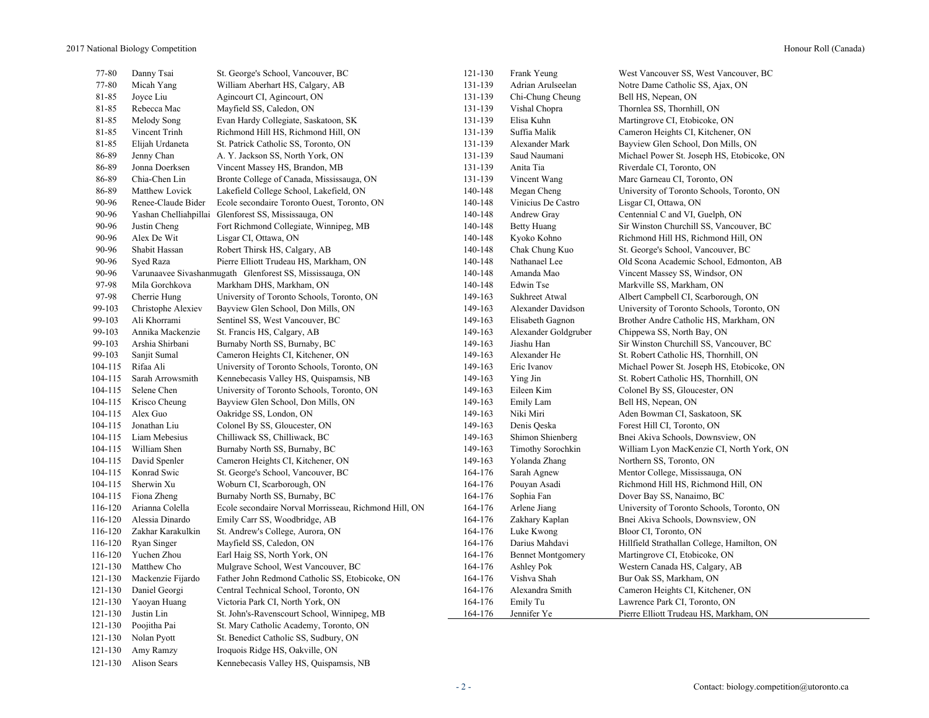| 77-80   | Danny Tsai            | St. George's School, Vancouver, BC                       | 121-130 | Frank Yeung              | West Vancouver SS, West Vancouver, BC       |  |
|---------|-----------------------|----------------------------------------------------------|---------|--------------------------|---------------------------------------------|--|
| 77-80   | Micah Yang            | William Aberhart HS, Calgary, AB                         | 131-139 | Adrian Arulseelan        | Notre Dame Catholic SS, Ajax, ON            |  |
| 81-85   | Joyce Liu             | Agincourt CI, Agincourt, ON                              | 131-139 | Chi-Chung Cheung         | Bell HS, Nepean, ON                         |  |
| 81-85   | Rebecca Mac           | Mayfield SS, Caledon, ON                                 | 131-139 | Vishal Chopra            | Thornlea SS, Thornhill, ON                  |  |
| 81-85   | Melody Song           | Evan Hardy Collegiate, Saskatoon, SK                     | 131-139 | Elisa Kuhn               | Martingrove CI, Etobicoke, ON               |  |
| 81-85   | Vincent Trinh         | Richmond Hill HS, Richmond Hill, ON                      | 131-139 | Suffia Malik             | Cameron Heights CI, Kitchener, ON           |  |
| 81-85   | Elijah Urdaneta       | St. Patrick Catholic SS, Toronto, ON                     | 131-139 | Alexander Mark           | Bayview Glen School, Don Mills, ON          |  |
| 86-89   | Jenny Chan            | A. Y. Jackson SS, North York, ON                         | 131-139 | Saud Naumani             | Michael Power St. Joseph HS, Etobicoke, ON  |  |
| 86-89   | Jonna Doerksen        | Vincent Massey HS, Brandon, MB                           | 131-139 | Anita Tia                | Riverdale CI, Toronto, ON                   |  |
| 86-89   | Chia-Chen Lin         | Bronte College of Canada, Mississauga, ON                | 131-139 | Vincent Wang             | Marc Garneau CI, Toronto, ON                |  |
| 86-89   | Matthew Lovick        | Lakefield College School, Lakefield, ON                  | 140-148 | Megan Cheng              | University of Toronto Schools, Toronto, ON  |  |
| 90-96   | Renee-Claude Bider    | Ecole secondaire Toronto Ouest, Toronto, ON              | 140-148 | Vinicius De Castro       | Lisgar CI, Ottawa, ON                       |  |
| 90-96   | Yashan Chelliahpillai | Glenforest SS, Mississauga, ON                           | 140-148 | Andrew Gray              | Centennial C and VI, Guelph, ON             |  |
| 90-96   | Justin Cheng          | Fort Richmond Collegiate, Winnipeg, MB                   | 140-148 | <b>Betty Huang</b>       | Sir Winston Churchill SS, Vancouver, BC     |  |
| 90-96   | Alex De Wit           | Lisgar CI, Ottawa, ON                                    | 140-148 | Kyoko Kohno              | Richmond Hill HS, Richmond Hill, ON         |  |
| 90-96   | Shabit Hassan         | Robert Thirsk HS, Calgary, AB                            | 140-148 | Chak Chung Kuo           | St. George's School, Vancouver, BC          |  |
| 90-96   | Syed Raza             | Pierre Elliott Trudeau HS, Markham, ON                   | 140-148 | Nathanael Lee            | Old Scona Academic School, Edmonton, AB     |  |
| 90-96   |                       | Varunaavee Sivashanmugath Glenforest SS, Mississauga, ON | 140-148 | Amanda Mao               | Vincent Massey SS, Windsor, ON              |  |
| 97-98   | Mila Gorchkova        | Markham DHS, Markham, ON                                 | 140-148 | Edwin Tse                | Markville SS, Markham, ON                   |  |
| 97-98   | Cherrie Hung          | University of Toronto Schools, Toronto, ON               | 149-163 | Sukhreet Atwal           | Albert Campbell CI, Scarborough, ON         |  |
| 99-103  | Christophe Alexiev    | Bayview Glen School, Don Mills, ON                       | 149-163 | Alexander Davidson       | University of Toronto Schools, Toronto, ON  |  |
| 99-103  | Ali Khorrami          | Sentinel SS, West Vancouver, BC                          | 149-163 | Elisabeth Gagnon         | Brother Andre Catholic HS, Markham, ON      |  |
| 99-103  | Annika Mackenzie      | St. Francis HS, Calgary, AB                              | 149-163 | Alexander Goldgruber     | Chippewa SS, North Bay, ON                  |  |
| 99-103  | Arshia Shirbani       | Burnaby North SS, Burnaby, BC                            | 149-163 | Jiashu Han               | Sir Winston Churchill SS, Vancouver, BC     |  |
| 99-103  | Sanjit Sumal          | Cameron Heights CI, Kitchener, ON                        | 149-163 | Alexander He             | St. Robert Catholic HS, Thornhill, ON       |  |
| 104-115 | Rifaa Ali             | University of Toronto Schools, Toronto, ON               | 149-163 | Eric Ivanov              | Michael Power St. Joseph HS, Etobicoke, ON  |  |
| 104-115 | Sarah Arrowsmith      | Kennebecasis Valley HS, Quispamsis, NB                   | 149-163 | Ying Jin                 | St. Robert Catholic HS, Thornhill, ON       |  |
| 104-115 | Selene Chen           | University of Toronto Schools, Toronto, ON               | 149-163 | Eileen Kim               | Colonel By SS, Gloucester, ON               |  |
| 104-115 | Krisco Cheung         | Bayview Glen School, Don Mills, ON                       | 149-163 | Emily Lam                | Bell HS, Nepean, ON                         |  |
| 104-115 | Alex Guo              | Oakridge SS, London, ON                                  | 149-163 | Niki Miri                | Aden Bowman CI, Saskatoon, SK               |  |
| 104-115 | Jonathan Liu          | Colonel By SS, Gloucester, ON                            | 149-163 | Denis Qeska              | Forest Hill CI, Toronto, ON                 |  |
| 104-115 | Liam Mebesius         | Chilliwack SS, Chilliwack, BC                            | 149-163 | Shimon Shienberg         | Bnei Akiva Schools, Downsview, ON           |  |
| 104-115 | William Shen          | Burnaby North SS, Burnaby, BC                            | 149-163 | Timothy Sorochkin        | William Lyon MacKenzie CI, North York, ON   |  |
| 104-115 | David Spenler         | Cameron Heights CI, Kitchener, ON                        | 149-163 | Yolanda Zhang            | Northern SS, Toronto, ON                    |  |
| 104-115 | Konrad Swic           | St. George's School, Vancouver, BC                       | 164-176 | Sarah Agnew              | Mentor College, Mississauga, ON             |  |
| 104-115 | Sherwin Xu            | Woburn CI, Scarborough, ON                               | 164-176 | Pouyan Asadi             | Richmond Hill HS, Richmond Hill, ON         |  |
| 104-115 | Fiona Zheng           | Burnaby North SS, Burnaby, BC                            | 164-176 | Sophia Fan               | Dover Bay SS, Nanaimo, BC                   |  |
| 116-120 | Arianna Colella       | Ecole secondaire Norval Morrisseau, Richmond Hill, ON    | 164-176 | Arlene Jiang             | University of Toronto Schools, Toronto, ON  |  |
| 116-120 | Alessia Dinardo       | Emily Carr SS, Woodbridge, AB                            | 164-176 | Zakhary Kaplan           | Bnei Akiva Schools, Downsview, ON           |  |
| 116-120 | Zakhar Karakulkin     | St. Andrew's College, Aurora, ON                         | 164-176 | Luke Kwong               | Bloor CI, Toronto, ON                       |  |
| 116-120 | Ryan Singer           | Mayfield SS, Caledon, ON                                 | 164-176 | Darius Mahdavi           | Hillfield Strathallan College, Hamilton, ON |  |
| 116-120 | Yuchen Zhou           | Earl Haig SS, North York, ON                             | 164-176 | <b>Bennet Montgomery</b> | Martingrove CI, Etobicoke, ON               |  |
| 121-130 | Matthew Cho           | Mulgrave School, West Vancouver, BC                      | 164-176 | Ashley Pok               | Western Canada HS, Calgary, AB              |  |
| 121-130 | Mackenzie Fijardo     | Father John Redmond Catholic SS, Etobicoke, ON           | 164-176 | Vishva Shah              | Bur Oak SS, Markham, ON                     |  |
| 121-130 | Daniel Georgi         | Central Technical School, Toronto, ON                    | 164-176 | Alexandra Smith          | Cameron Heights CI, Kitchener, ON           |  |
| 121-130 | Yaoyan Huang          | Victoria Park CI, North York, ON                         | 164-176 | Emily Tu                 | Lawrence Park CI, Toronto, ON               |  |
| 121-130 | Justin Lin            | St. John's-Ravenscourt School, Winnipeg, MB              | 164-176 | Jennifer Ye              | Pierre Elliott Trudeau HS, Markham, ON      |  |
| 121-130 | Poojitha Pai          | St. Mary Catholic Academy, Toronto, ON                   |         |                          |                                             |  |
| 121-130 | Nolan Pyott           | St. Benedict Catholic SS, Sudbury, ON                    |         |                          |                                             |  |
| 121-130 | Amy Ramzy             | Iroquois Ridge HS, Oakville, ON                          |         |                          |                                             |  |
|         |                       |                                                          |         |                          |                                             |  |